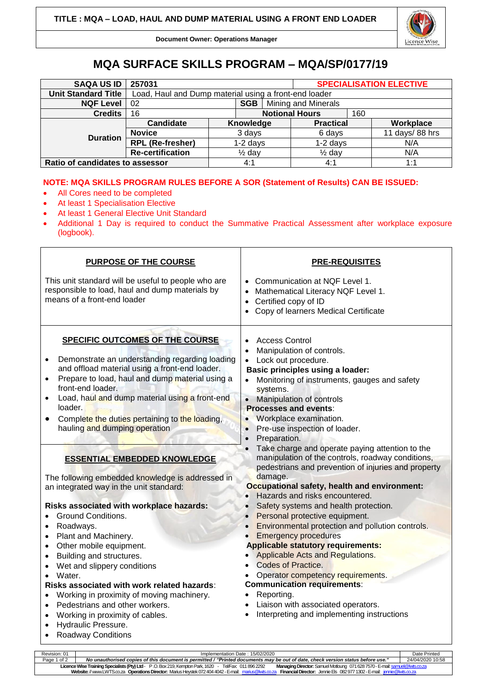

**Document Owner: Operations Manager**

## **MQA SURFACE SKILLS PROGRAM – MQA/SP/0177/19**

| <b>SAQA US ID</b>               | 257031                                                |                   |     |                            | <b>SPECIALISATION ELECTIVE</b> |  |                   |  |
|---------------------------------|-------------------------------------------------------|-------------------|-----|----------------------------|--------------------------------|--|-------------------|--|
| <b>Unit Standard Title</b>      | Load, Haul and Dump material using a front-end loader |                   |     |                            |                                |  |                   |  |
| <b>NQF Level</b>                | <b>SGB</b><br>02                                      |                   |     | <b>Mining and Minerals</b> |                                |  |                   |  |
| <b>Credits</b>                  | 16                                                    |                   |     |                            | <b>Notional Hours</b><br>160   |  |                   |  |
| <b>Duration</b>                 | Candidate                                             |                   |     | Knowledge                  | <b>Practical</b>               |  | Workplace         |  |
|                                 | <b>Novice</b>                                         | 3 days            |     |                            | 6 days                         |  | 11 days/ $88$ hrs |  |
|                                 | <b>RPL (Re-fresher)</b>                               | $1-2$ days        |     |                            | $1-2$ days                     |  | N/A               |  |
|                                 | <b>Re-certification</b>                               | $\frac{1}{2}$ day |     |                            | $\frac{1}{2}$ day              |  | N/A               |  |
| Ratio of candidates to assessor |                                                       |                   | 4:1 |                            | 4:1                            |  | 1:1               |  |

## **NOTE: MQA SKILLS PROGRAM RULES BEFORE A SOR (Statement of Results) CAN BE ISSUED:**

- All Cores need to be completed
- At least 1 Specialisation Elective
- At least 1 General Elective Unit Standard
- Additional 1 Day is required to conduct the Summative Practical Assessment after workplace exposure (logbook).

| <b>PURPOSE OF THE COURSE</b>                                                                                                                                                                                                                                                                                                                                                                                                                                                                                                            | <b>PRE-REQUISITES</b>                                                                                                                                                                                                                                                                                                                                                                                                                                                                                             |  |  |  |  |
|-----------------------------------------------------------------------------------------------------------------------------------------------------------------------------------------------------------------------------------------------------------------------------------------------------------------------------------------------------------------------------------------------------------------------------------------------------------------------------------------------------------------------------------------|-------------------------------------------------------------------------------------------------------------------------------------------------------------------------------------------------------------------------------------------------------------------------------------------------------------------------------------------------------------------------------------------------------------------------------------------------------------------------------------------------------------------|--|--|--|--|
| This unit standard will be useful to people who are<br>responsible to load, haul and dump materials by<br>means of a front-end loader                                                                                                                                                                                                                                                                                                                                                                                                   | • Communication at NQF Level 1.<br>Mathematical Literacy NQF Level 1.<br>$\bullet$<br>Certified copy of ID<br>$\bullet$<br>Copy of learners Medical Certificate                                                                                                                                                                                                                                                                                                                                                   |  |  |  |  |
| SPECIFIC OUTCOMES OF THE COURSE<br>Demonstrate an understanding regarding loading<br>and offload material using a front-end loader.<br>Prepare to load, haul and dump material using a<br>front-end loader.<br>Load, haul and dump material using a front-end<br>$\bullet$<br>loader.<br>Complete the duties pertaining to the loading,<br>hauling and dumping operation                                                                                                                                                                | <b>Access Control</b><br>Manipulation of controls.<br>Lock out procedure.<br>$\bullet$<br><b>Basic principles using a loader:</b><br>Monitoring of instruments, gauges and safety<br>systems.<br>Manipulation of controls<br>$\bullet$<br><b>Processes and events:</b><br>Workplace examination.<br>$\bullet$<br>Pre-use inspection of loader.<br>$\bullet$<br>Preparation.<br>$\bullet$                                                                                                                          |  |  |  |  |
| <b>ESSENTIAL EMBEDDED KNOWLEDGE</b><br>The following embedded knowledge is addressed in<br>an integrated way in the unit standard:                                                                                                                                                                                                                                                                                                                                                                                                      | Take charge and operate paying attention to the<br>manipulation of the controls, roadway conditions,<br>pedestrians and prevention of injuries and property<br>damage.<br>Occupational safety, health and environment:                                                                                                                                                                                                                                                                                            |  |  |  |  |
| Risks associated with workplace hazards:<br><b>Ground Conditions.</b><br>Roadways.<br>$\bullet$<br>Plant and Machinery.<br>$\bullet$<br>Other mobile equipment.<br>$\bullet$<br>Building and structures.<br>$\bullet$<br>Wet and slippery conditions<br>$\bullet$<br>Water.<br>$\bullet$<br>Risks associated with work related hazards:<br>Working in proximity of moving machinery.<br>$\bullet$<br>Pedestrians and other workers.<br>Working in proximity of cables.<br>$\bullet$<br>Hydraulic Pressure.<br><b>Roadway Conditions</b> | Hazards and risks encountered.<br>$\bullet$<br>Safety systems and health protection.<br>Personal protective equipment.<br>Environmental protection and pollution controls.<br><b>Emergency procedures</b><br><b>Applicable statutory requirements:</b><br>Applicable Acts and Regulations.<br><b>Codes of Practice.</b><br>$\bullet$<br>Operator competency requirements.<br><b>Communication requirements:</b><br>Reporting.<br>Liaison with associated operators.<br>Interpreting and implementing instructions |  |  |  |  |

Revision: 01 Implementation Date : 15/02/2020 Date Printed Page 1 of 2 *No unauthorised copies of this document is permitted / "Printed documents may be out of date, check version status before use."* 24/04/2020 10:58 **Licence Wise Training Specialists (Pty) Ltd**- P .O. Box 219, Kempton Park, 1620 - Tel/Fax: 011 896 2292 **Managing Director:** Samuel Motloung 071628 7570 -E-mai[l: samuel@lwts.co.za](mailto:samuel@lwts.co.za)  **Website:**// www.LWTS.co.za **Operations Director:** Marius Heystek 072404 4042 -E-mail: [marius@lwts.co.za](mailto:marius@lwts.co.za) **Financial Director:** Jennie Els 082977 1302 -E-mail: [jennie@lwts.co.za](mailto:jennie@lwts.co.za)